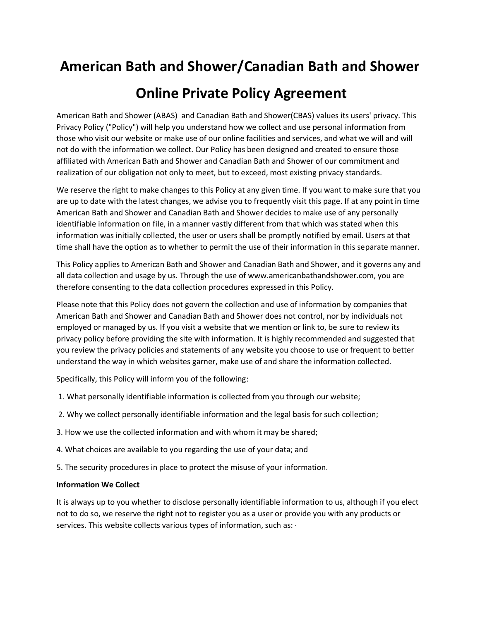# **American Bath and Shower/Canadian Bath and Shower Online Private Policy Agreement**

American Bath and Shower (ABAS) and Canadian Bath and Shower(CBAS) values its users' privacy. This Privacy Policy ("Policy") will help you understand how we collect and use personal information from those who visit our website or make use of our online facilities and services, and what we will and will not do with the information we collect. Our Policy has been designed and created to ensure those affiliated with American Bath and Shower and Canadian Bath and Shower of our commitment and realization of our obligation not only to meet, but to exceed, most existing privacy standards.

We reserve the right to make changes to this Policy at any given time. If you want to make sure that you are up to date with the latest changes, we advise you to frequently visit this page. If at any point in time American Bath and Shower and Canadian Bath and Shower decides to make use of any personally identifiable information on file, in a manner vastly different from that which was stated when this information was initially collected, the user or users shall be promptly notified by email. Users at that time shall have the option as to whether to permit the use of their information in this separate manner.

This Policy applies to American Bath and Shower and Canadian Bath and Shower, and it governs any and all data collection and usage by us. Through the use of www.americanbathandshower.com, you are therefore consenting to the data collection procedures expressed in this Policy.

Please note that this Policy does not govern the collection and use of information by companies that American Bath and Shower and Canadian Bath and Shower does not control, nor by individuals not employed or managed by us. If you visit a website that we mention or link to, be sure to review its privacy policy before providing the site with information. It is highly recommended and suggested that you review the privacy policies and statements of any website you choose to use or frequent to better understand the way in which websites garner, make use of and share the information collected.

Specifically, this Policy will inform you of the following:

- 1. What personally identifiable information is collected from you through our website;
- 2. Why we collect personally identifiable information and the legal basis for such collection;
- 3. How we use the collected information and with whom it may be shared;
- 4. What choices are available to you regarding the use of your data; and
- 5. The security procedures in place to protect the misuse of your information.

## **Information We Collect**

It is always up to you whether to disclose personally identifiable information to us, although if you elect not to do so, we reserve the right not to register you as a user or provide you with any products or services. This website collects various types of information, such as: ·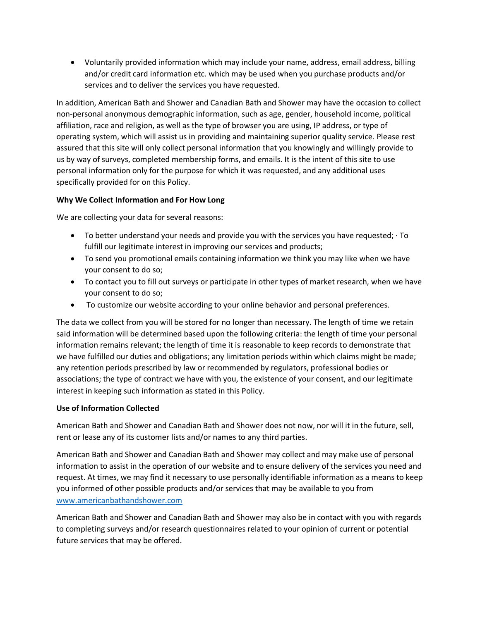Voluntarily provided information which may include your name, address, email address, billing and/or credit card information etc. which may be used when you purchase products and/or services and to deliver the services you have requested.

In addition, American Bath and Shower and Canadian Bath and Shower may have the occasion to collect non-personal anonymous demographic information, such as age, gender, household income, political affiliation, race and religion, as well as the type of browser you are using, IP address, or type of operating system, which will assist us in providing and maintaining superior quality service. Please rest assured that this site will only collect personal information that you knowingly and willingly provide to us by way of surveys, completed membership forms, and emails. It is the intent of this site to use personal information only for the purpose for which it was requested, and any additional uses specifically provided for on this Policy.

## **Why We Collect Information and For How Long**

We are collecting your data for several reasons:

- $\bullet$  To better understand your needs and provide you with the services you have requested;  $\cdot$  To fulfill our legitimate interest in improving our services and products;
- To send you promotional emails containing information we think you may like when we have your consent to do so;
- To contact you to fill out surveys or participate in other types of market research, when we have your consent to do so;
- To customize our website according to your online behavior and personal preferences.

The data we collect from you will be stored for no longer than necessary. The length of time we retain said information will be determined based upon the following criteria: the length of time your personal information remains relevant; the length of time it is reasonable to keep records to demonstrate that we have fulfilled our duties and obligations; any limitation periods within which claims might be made; any retention periods prescribed by law or recommended by regulators, professional bodies or associations; the type of contract we have with you, the existence of your consent, and our legitimate interest in keeping such information as stated in this Policy.

### **Use of Information Collected**

American Bath and Shower and Canadian Bath and Shower does not now, nor will it in the future, sell, rent or lease any of its customer lists and/or names to any third parties.

American Bath and Shower and Canadian Bath and Shower may collect and may make use of personal information to assist in the operation of our website and to ensure delivery of the services you need and request. At times, we may find it necessary to use personally identifiable information as a means to keep you informed of other possible products and/or services that may be available to you from [www.americanbathandshower.com](http://www.americanbathandshower.com/)

American Bath and Shower and Canadian Bath and Shower may also be in contact with you with regards to completing surveys and/or research questionnaires related to your opinion of current or potential future services that may be offered.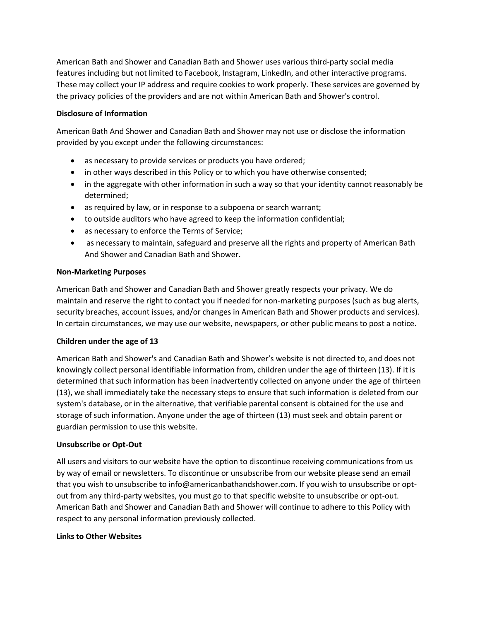American Bath and Shower and Canadian Bath and Shower uses various third-party social media features including but not limited to Facebook, Instagram, LinkedIn, and other interactive programs. These may collect your IP address and require cookies to work properly. These services are governed by the privacy policies of the providers and are not within American Bath and Shower's control.

#### **Disclosure of Information**

American Bath And Shower and Canadian Bath and Shower may not use or disclose the information provided by you except under the following circumstances:

- as necessary to provide services or products you have ordered;
- in other ways described in this Policy or to which you have otherwise consented;
- in the aggregate with other information in such a way so that your identity cannot reasonably be determined;
- as required by law, or in response to a subpoena or search warrant;
- to outside auditors who have agreed to keep the information confidential;
- as necessary to enforce the Terms of Service;
- as necessary to maintain, safeguard and preserve all the rights and property of American Bath And Shower and Canadian Bath and Shower.

#### **Non-Marketing Purposes**

American Bath and Shower and Canadian Bath and Shower greatly respects your privacy. We do maintain and reserve the right to contact you if needed for non-marketing purposes (such as bug alerts, security breaches, account issues, and/or changes in American Bath and Shower products and services). In certain circumstances, we may use our website, newspapers, or other public means to post a notice.

### **Children under the age of 13**

American Bath and Shower's and Canadian Bath and Shower's website is not directed to, and does not knowingly collect personal identifiable information from, children under the age of thirteen (13). If it is determined that such information has been inadvertently collected on anyone under the age of thirteen (13), we shall immediately take the necessary steps to ensure that such information is deleted from our system's database, or in the alternative, that verifiable parental consent is obtained for the use and storage of such information. Anyone under the age of thirteen (13) must seek and obtain parent or guardian permission to use this website.

### **Unsubscribe or Opt-Out**

All users and visitors to our website have the option to discontinue receiving communications from us by way of email or newsletters. To discontinue or unsubscribe from our website please send an email that you wish to unsubscribe to info@americanbathandshower.com. If you wish to unsubscribe or optout from any third-party websites, you must go to that specific website to unsubscribe or opt-out. American Bath and Shower and Canadian Bath and Shower will continue to adhere to this Policy with respect to any personal information previously collected.

#### **Links to Other Websites**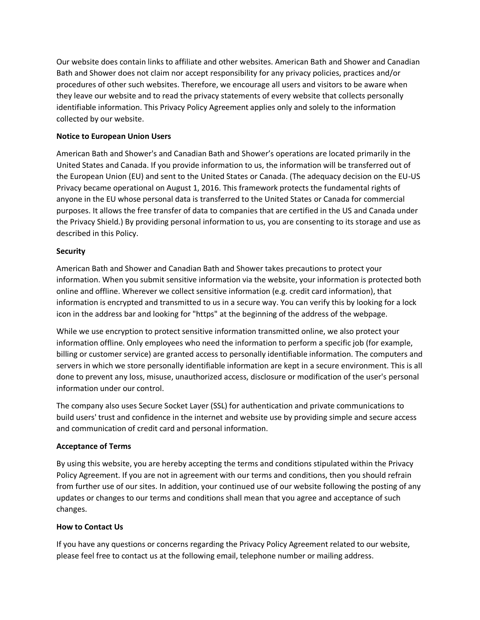Our website does contain links to affiliate and other websites. American Bath and Shower and Canadian Bath and Shower does not claim nor accept responsibility for any privacy policies, practices and/or procedures of other such websites. Therefore, we encourage all users and visitors to be aware when they leave our website and to read the privacy statements of every website that collects personally identifiable information. This Privacy Policy Agreement applies only and solely to the information collected by our website.

## **Notice to European Union Users**

American Bath and Shower's and Canadian Bath and Shower's operations are located primarily in the United States and Canada. If you provide information to us, the information will be transferred out of the European Union (EU) and sent to the United States or Canada. (The adequacy decision on the EU-US Privacy became operational on August 1, 2016. This framework protects the fundamental rights of anyone in the EU whose personal data is transferred to the United States or Canada for commercial purposes. It allows the free transfer of data to companies that are certified in the US and Canada under the Privacy Shield.) By providing personal information to us, you are consenting to its storage and use as described in this Policy.

### **Security**

American Bath and Shower and Canadian Bath and Shower takes precautions to protect your information. When you submit sensitive information via the website, your information is protected both online and offline. Wherever we collect sensitive information (e.g. credit card information), that information is encrypted and transmitted to us in a secure way. You can verify this by looking for a lock icon in the address bar and looking for "https" at the beginning of the address of the webpage.

While we use encryption to protect sensitive information transmitted online, we also protect your information offline. Only employees who need the information to perform a specific job (for example, billing or customer service) are granted access to personally identifiable information. The computers and servers in which we store personally identifiable information are kept in a secure environment. This is all done to prevent any loss, misuse, unauthorized access, disclosure or modification of the user's personal information under our control.

The company also uses Secure Socket Layer (SSL) for authentication and private communications to build users' trust and confidence in the internet and website use by providing simple and secure access and communication of credit card and personal information.

### **Acceptance of Terms**

By using this website, you are hereby accepting the terms and conditions stipulated within the Privacy Policy Agreement. If you are not in agreement with our terms and conditions, then you should refrain from further use of our sites. In addition, your continued use of our website following the posting of any updates or changes to our terms and conditions shall mean that you agree and acceptance of such changes.

### **How to Contact Us**

If you have any questions or concerns regarding the Privacy Policy Agreement related to our website, please feel free to contact us at the following email, telephone number or mailing address.